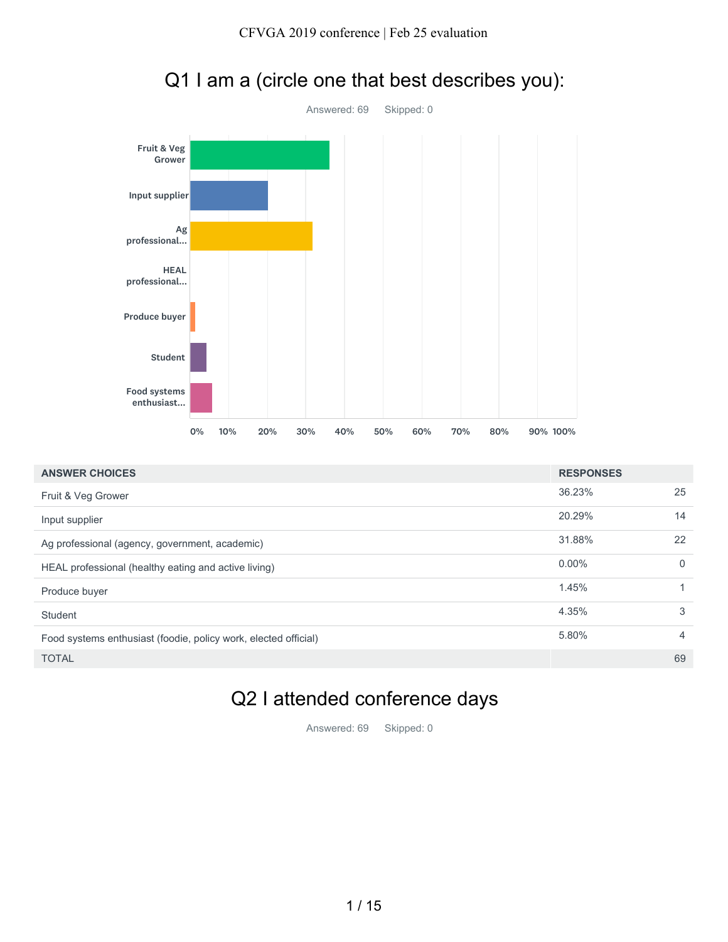

| Student<br>Food systems<br>enthusiast                           |    |     |     |     |     |     |     |     |     |                  |                |
|-----------------------------------------------------------------|----|-----|-----|-----|-----|-----|-----|-----|-----|------------------|----------------|
|                                                                 | 0% | 10% | 20% | 30% | 40% | 50% | 60% | 70% | 80% | 90% 100%         |                |
| <b>ANSWER CHOICES</b>                                           |    |     |     |     |     |     |     |     |     | <b>RESPONSES</b> |                |
| Fruit & Veg Grower                                              |    |     |     |     |     |     |     |     |     | 36.23%           | 25             |
| Input supplier                                                  |    |     |     |     |     |     |     |     |     | 20.29%           | 14             |
| Ag professional (agency, government, academic)                  |    |     |     |     |     |     |     |     |     | 31.88%           | 22             |
| HEAL professional (healthy eating and active living)            |    |     |     |     |     |     |     |     |     | $0.00\%$         | $\mathbf 0$    |
| Produce buyer                                                   |    |     |     |     |     |     |     |     |     | 1.45%            | $\mathbf{1}$   |
| Student                                                         |    |     |     |     |     |     |     |     |     | 4.35%            | 3              |
| Food systems enthusiast (foodie, policy work, elected official) |    |     |     |     |     |     |     |     |     | 5.80%            | $\overline{4}$ |
| <b>TOTAL</b>                                                    |    |     |     |     |     |     |     |     |     |                  | 69             |
|                                                                 |    |     |     |     |     |     |     |     |     |                  |                |

# Q1 I am a (circle one that best describes you):

#### Q2 I attended conference days

Answered: 69 Skipped: 0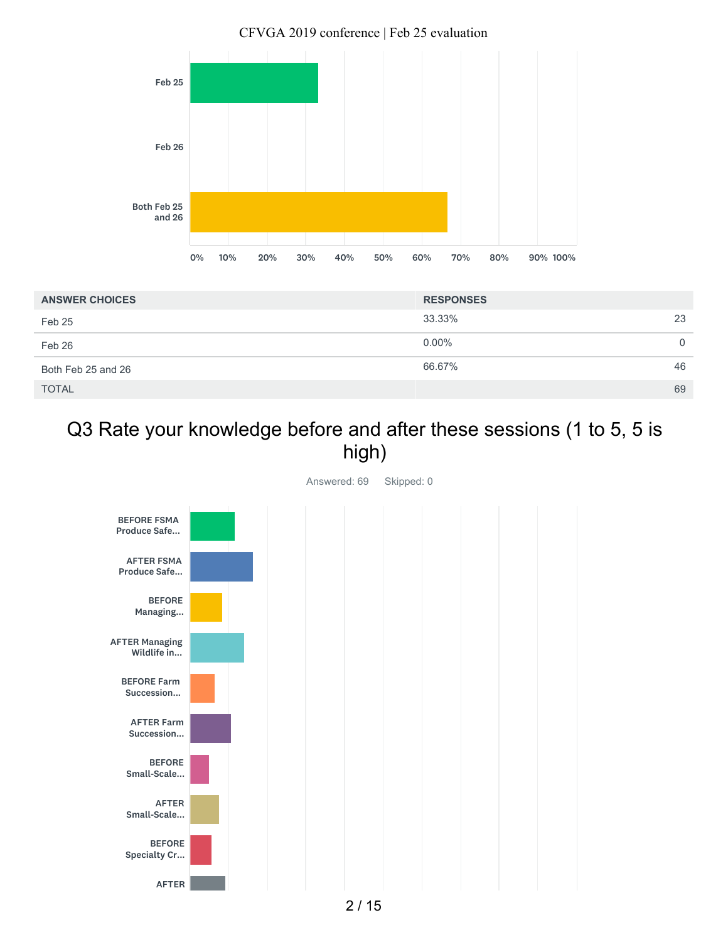

| <b>ANSWER CHOICES</b> | <b>RESPONSES</b> |          |
|-----------------------|------------------|----------|
| Feb 25                | 33.33%           | 23       |
| Feb 26                | $0.00\%$         | $\Omega$ |
| Both Feb 25 and 26    | 66.67%           | 46       |
| <b>TOTAL</b>          |                  | 69       |

## Q3 Rate your knowledge before and after these sessions (1 to 5, 5 is high)



CFVGA 2019 conference | Feb 25 evaluation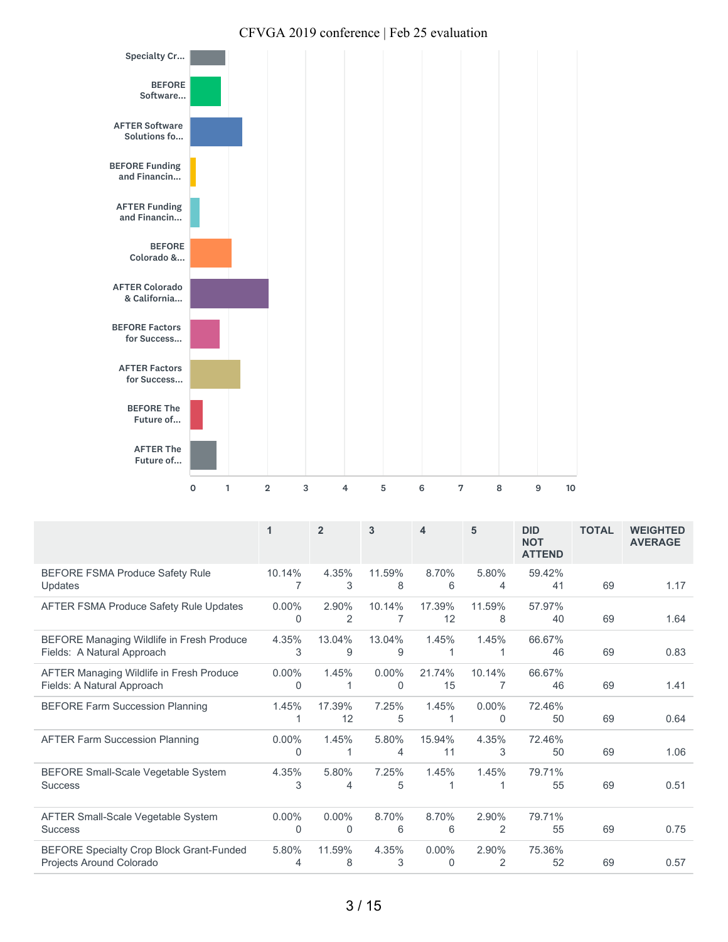

| CFVGA 2019 conference   Feb 25 evaluation |  |
|-------------------------------------------|--|
|-------------------------------------------|--|

|                                                                             | 1             | $\overline{2}$       | 3                    | 4                    | 5             | <b>DID</b><br><b>NOT</b><br><b>ATTEND</b> | <b>TOTAL</b> | <b>WEIGHTED</b><br><b>AVERAGE</b> |
|-----------------------------------------------------------------------------|---------------|----------------------|----------------------|----------------------|---------------|-------------------------------------------|--------------|-----------------------------------|
| <b>BEFORE FSMA Produce Safety Rule</b><br>Updates                           | 10.14%        | 4.35%<br>3           | 11.59%<br>8          | 8.70%<br>6           | 5.80%<br>4    | 59.42%<br>41                              | 69           | 1.17                              |
| <b>AFTER FSMA Produce Safety Rule Updates</b>                               | $0.00\%$<br>0 | 2.90%<br>2           | 10.14%<br>7          | 17.39%<br>12         | 11.59%<br>8   | 57.97%<br>40                              | 69           | 1.64                              |
| BEFORE Managing Wildlife in Fresh Produce<br>Fields: A Natural Approach     | 4.35%<br>3    | 13.04%<br>9          | 13.04%<br>9          | 1.45%                | 1.45%         | 66.67%<br>46                              | 69           | 0.83                              |
| AFTER Managing Wildlife in Fresh Produce<br>Fields: A Natural Approach      | $0.00\%$<br>0 | 1.45%                | $0.00\%$<br>$\Omega$ | 21.74%<br>15         | 10.14%        | 66.67%<br>46                              | 69           | 1.41                              |
| <b>BEFORE Farm Succession Planning</b>                                      | 1.45%         | 17.39%<br>12         | 7.25%<br>5           | 1.45%<br>1           | $0.00\%$<br>0 | 72.46%<br>50                              | 69           | 0.64                              |
| <b>AFTER Farm Succession Planning</b>                                       | $0.00\%$<br>0 | 1.45%                | 5.80%<br>4           | 15.94%<br>11         | 4.35%<br>3    | 72.46%<br>50                              | 69           | 1.06                              |
| <b>BEFORE Small-Scale Vegetable System</b><br><b>Success</b>                | 4.35%<br>3    | 5.80%<br>4           | 7.25%<br>5           | 1.45%<br>1           | 1.45%         | 79.71%<br>55                              | 69           | 0.51                              |
| <b>AFTER Small-Scale Vegetable System</b><br><b>Success</b>                 | $0.00\%$<br>0 | $0.00\%$<br>$\Omega$ | 8.70%<br>6           | 8.70%<br>6           | 2.90%<br>2    | 79.71%<br>55                              | 69           | 0.75                              |
| <b>BEFORE Specialty Crop Block Grant-Funded</b><br>Projects Around Colorado | 5.80%<br>4    | 11.59%<br>8          | 4.35%<br>3           | $0.00\%$<br>$\Omega$ | 2.90%<br>2    | 75.36%<br>52                              | 69           | 0.57                              |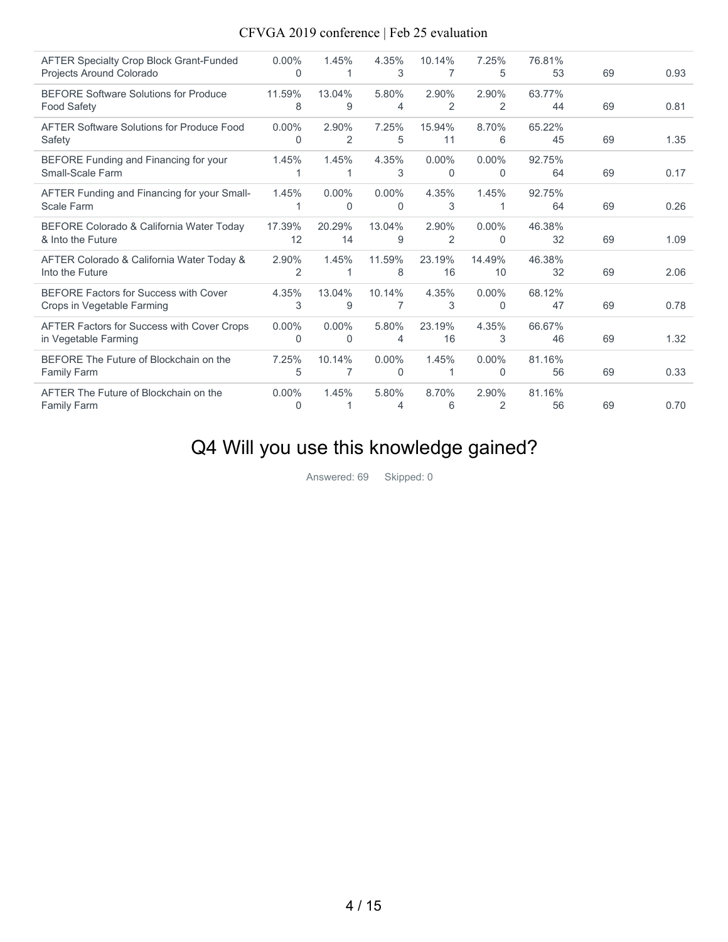| <b>AFTER Specialty Crop Block Grant-Funded</b><br>Projects Around Colorado | $0.00\%$<br>0 | 1.45%    | 4.35%<br>3 | 10.14%<br>7 | 7.25%<br>5 | 76.81%<br>53 | 69 | 0.93 |
|----------------------------------------------------------------------------|---------------|----------|------------|-------------|------------|--------------|----|------|
| <b>BEFORE Software Solutions for Produce</b>                               | 11.59%        | 13.04%   | 5.80%      | 2.90%       | 2.90%      | 63.77%       |    |      |
| <b>Food Safety</b>                                                         | 8             | 9        | 4          | 2           | 2          | 44           | 69 | 0.81 |
| AFTER Software Solutions for Produce Food                                  | $0.00\%$      | 2.90%    | 7.25%      | 15.94%      | 8.70%      | 65.22%       |    |      |
| Safety                                                                     | 0             | 2        | 5          | 11          | 6          | 45           | 69 | 1.35 |
| BEFORE Funding and Financing for your                                      | 1.45%         | 1.45%    | 4.35%      | $0.00\%$    | $0.00\%$   | 92.75%       |    |      |
| Small-Scale Farm                                                           |               |          | 3          | 0           | $\Omega$   | 64           | 69 | 0.17 |
| AFTER Funding and Financing for your Small-                                | 1.45%         | $0.00\%$ | $0.00\%$   | 4.35%       | 1.45%      | 92.75%       |    |      |
| Scale Farm                                                                 |               | $\Omega$ | $\Omega$   | 3           |            | 64           | 69 | 0.26 |
| BEFORE Colorado & California Water Today                                   | 17.39%        | 20.29%   | 13.04%     | 2.90%       | $0.00\%$   | 46.38%       |    |      |
| & Into the Future                                                          | 12            | 14       | 9          | 2           | 0          | 32           | 69 | 1.09 |
| AFTER Colorado & California Water Today &                                  | 2.90%         | 1.45%    | 11.59%     | 23.19%      | 14.49%     | 46.38%       |    |      |
| Into the Future                                                            | 2             |          | 8          | 16          | 10         | 32           | 69 | 2.06 |
| <b>BEFORE Factors for Success with Cover</b>                               | 4.35%         | 13.04%   | 10.14%     | 4.35%       | $0.00\%$   | 68.12%       |    |      |
| Crops in Vegetable Farming                                                 | 3             | 9        | 7          | 3           | $\Omega$   | 47           | 69 | 0.78 |
| AFTER Factors for Success with Cover Crops                                 | $0.00\%$      | $0.00\%$ | 5.80%      | 23.19%      | 4.35%      | 66.67%       |    |      |
| in Vegetable Farming                                                       | $\Omega$      | $\Omega$ | 4          | 16          | 3          | 46           | 69 | 1.32 |
| BEFORE The Future of Blockchain on the                                     | 7.25%         | 10.14%   | $0.00\%$   | 1.45%       | $0.00\%$   | 81.16%       |    |      |
| <b>Family Farm</b>                                                         | 5             | 7        | $\Omega$   |             | $\Omega$   | 56           | 69 | 0.33 |
| AFTER The Future of Blockchain on the                                      | $0.00\%$      | 1.45%    | 5.80%      | 8.70%       | 2.90%      | 81.16%       |    |      |
| <b>Family Farm</b>                                                         | 0             |          |            | 6           | 2          | 56           | 69 | 0.70 |
|                                                                            |               |          |            |             |            |              |    |      |

# Q4 Will you use this knowledge gained?

Answered: 69 Skipped: 0

#### 4 / 15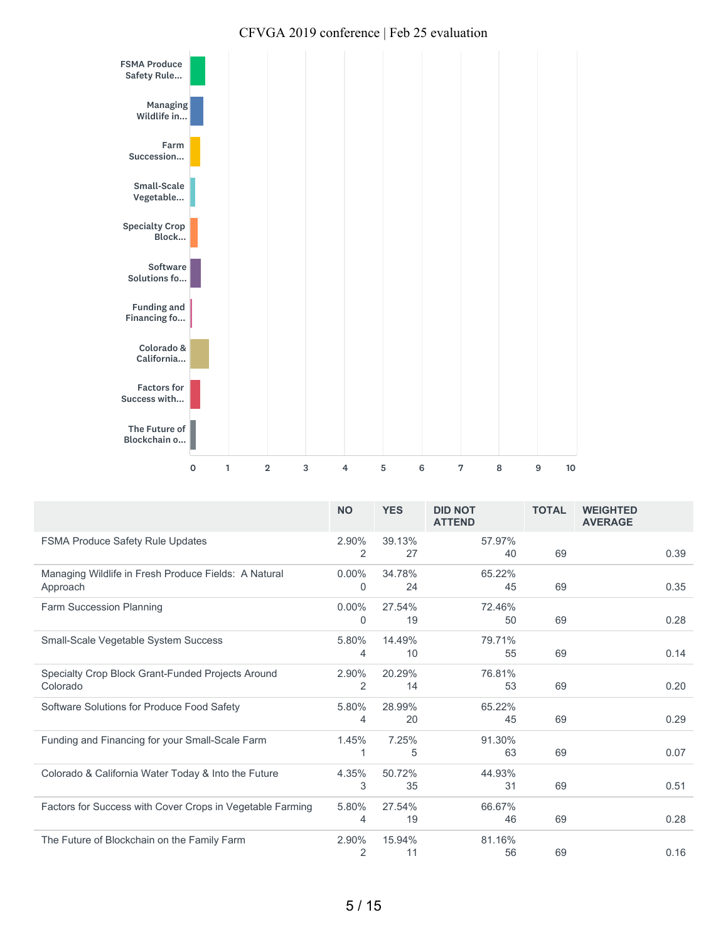

|                                                                  | <b>NO</b>     | <b>YES</b>   | <b>DID NOT</b><br><b>ATTEND</b> | <b>TOTAL</b> | <b>WEIGHTED</b><br><b>AVERAGE</b> |
|------------------------------------------------------------------|---------------|--------------|---------------------------------|--------------|-----------------------------------|
| <b>FSMA Produce Safety Rule Updates</b>                          | 2.90%<br>2    | 39.13%<br>27 | 57.97%<br>40                    | 69           | 0.39                              |
| Managing Wildlife in Fresh Produce Fields: A Natural<br>Approach | $0.00\%$<br>0 | 34.78%<br>24 | 65.22%<br>45                    | 69           | 0.35                              |
| Farm Succession Planning                                         | $0.00\%$<br>0 | 27.54%<br>19 | 72.46%<br>50                    | 69           | 0.28                              |
| Small-Scale Vegetable System Success                             | 5.80%<br>4    | 14.49%<br>10 | 79.71%<br>55                    | 69           | 0.14                              |
| Specialty Crop Block Grant-Funded Projects Around<br>Colorado    | 2.90%<br>2    | 20.29%<br>14 | 76.81%<br>53                    | 69           | 0.20                              |
| Software Solutions for Produce Food Safety                       | 5.80%<br>4    | 28.99%<br>20 | 65.22%<br>45                    | 69           | 0.29                              |
| Funding and Financing for your Small-Scale Farm                  | 1.45%         | 7.25%<br>5   | 91.30%<br>63                    | 69           | 0.07                              |
| Colorado & California Water Today & Into the Future              | 4.35%<br>3    | 50.72%<br>35 | 44.93%<br>31                    | 69           | 0.51                              |
| Factors for Success with Cover Crops in Vegetable Farming        | 5.80%<br>4    | 27.54%<br>19 | 66.67%<br>46                    | 69           | 0.28                              |
| The Future of Blockchain on the Family Farm                      | 2.90%<br>2    | 15.94%<br>11 | 81.16%<br>56                    | 69           | 0.16                              |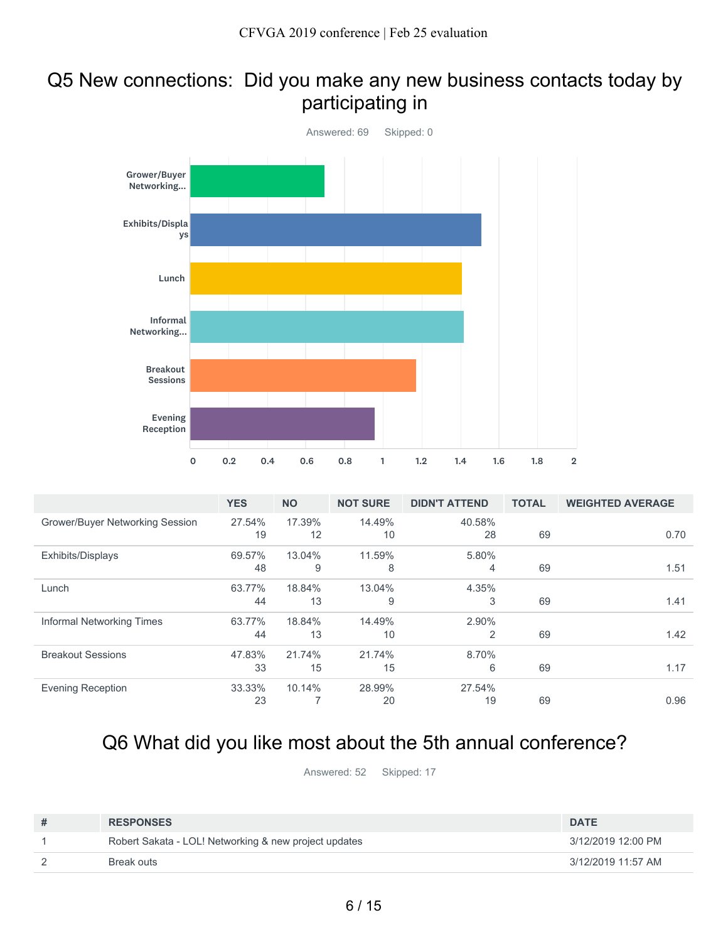#### Q5 New connections: Did you make any new business contacts today by participating in



|                                 | <b>YES</b> | <b>NO</b> | <b>NOT SURE</b> | <b>DIDN'T ATTEND</b> | <b>TOTAL</b> | <b>WEIGHTED AVERAGE</b> |
|---------------------------------|------------|-----------|-----------------|----------------------|--------------|-------------------------|
| Grower/Buyer Networking Session | 27.54%     | 17.39%    | 14.49%          | 40.58%               |              |                         |
|                                 | 19         | 12        | 10              | 28                   | 69           | 0.70                    |
| Exhibits/Displays               | 69.57%     | 13.04%    | 11.59%          | 5.80%                |              |                         |
|                                 | 48         | 9         | 8               | 4                    | 69           | 1.51                    |
| Lunch                           | 63.77%     | 18.84%    | 13.04%          | 4.35%                |              |                         |
|                                 | 44         | 13        | 9               | 3                    | 69           | 1.41                    |
| Informal Networking Times       | 63.77%     | 18.84%    | 14.49%          | 2.90%                |              |                         |
|                                 | 44         | 13        | 10              | 2                    | 69           | 1.42                    |
| <b>Breakout Sessions</b>        | 47.83%     | 21.74%    | 21.74%          | 8.70%                |              |                         |
|                                 | 33         | 15        | 15              | 6                    | 69           | 1.17                    |
| <b>Evening Reception</b>        | 33.33%     | 10.14%    | 28.99%          | 27.54%               |              |                         |
|                                 | 23         |           | 20              | 19                   | 69           | 0.96                    |

### Q6 What did you like most about the 5th annual conference?

Answered: 52 Skipped: 17

| # | <b>RESPONSES</b>                                      | <b>DATE</b>        |
|---|-------------------------------------------------------|--------------------|
|   | Robert Sakata - LOL! Networking & new project updates | 3/12/2019 12:00 PM |
|   | Break outs                                            | 3/12/2019 11:57 AM |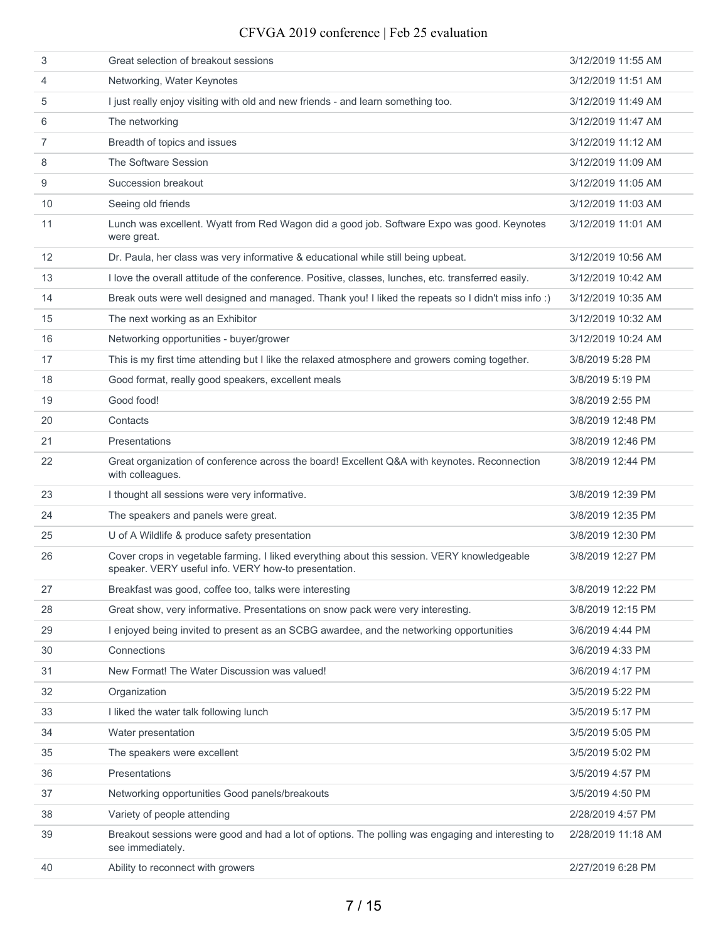| 3              | Great selection of breakout sessions                                                                                                                | 3/12/2019 11:55 AM |
|----------------|-----------------------------------------------------------------------------------------------------------------------------------------------------|--------------------|
| $\overline{4}$ | Networking, Water Keynotes                                                                                                                          | 3/12/2019 11:51 AM |
| 5              | I just really enjoy visiting with old and new friends - and learn something too.                                                                    | 3/12/2019 11:49 AM |
| 6              | The networking                                                                                                                                      | 3/12/2019 11:47 AM |
| $\overline{7}$ | Breadth of topics and issues                                                                                                                        | 3/12/2019 11:12 AM |
| 8              | The Software Session                                                                                                                                | 3/12/2019 11:09 AM |
| 9              | Succession breakout                                                                                                                                 | 3/12/2019 11:05 AM |
| 10             | Seeing old friends                                                                                                                                  | 3/12/2019 11:03 AM |
| 11             | Lunch was excellent. Wyatt from Red Wagon did a good job. Software Expo was good. Keynotes<br>were great.                                           | 3/12/2019 11:01 AM |
| 12             | Dr. Paula, her class was very informative & educational while still being upbeat.                                                                   | 3/12/2019 10:56 AM |
| 13             | I love the overall attitude of the conference. Positive, classes, lunches, etc. transferred easily.                                                 | 3/12/2019 10:42 AM |
| 14             | Break outs were well designed and managed. Thank you! I liked the repeats so I didn't miss info:)                                                   | 3/12/2019 10:35 AM |
| 15             | The next working as an Exhibitor                                                                                                                    | 3/12/2019 10:32 AM |
| 16             | Networking opportunities - buyer/grower                                                                                                             | 3/12/2019 10:24 AM |
| 17             | This is my first time attending but I like the relaxed atmosphere and growers coming together.                                                      | 3/8/2019 5:28 PM   |
| 18             | Good format, really good speakers, excellent meals                                                                                                  | 3/8/2019 5:19 PM   |
| 19             | Good food!                                                                                                                                          | 3/8/2019 2:55 PM   |
| 20             | Contacts                                                                                                                                            | 3/8/2019 12:48 PM  |
| 21             | Presentations                                                                                                                                       | 3/8/2019 12:46 PM  |
| 22             | Great organization of conference across the board! Excellent Q&A with keynotes. Reconnection<br>with colleagues.                                    | 3/8/2019 12:44 PM  |
| 23             | I thought all sessions were very informative.                                                                                                       | 3/8/2019 12:39 PM  |
| 24             | The speakers and panels were great.                                                                                                                 | 3/8/2019 12:35 PM  |
| 25             | U of A Wildlife & produce safety presentation                                                                                                       | 3/8/2019 12:30 PM  |
| 26             | Cover crops in vegetable farming. I liked everything about this session. VERY knowledgeable<br>speaker. VERY useful info. VERY how-to presentation. | 3/8/2019 12:27 PM  |
| 27             | Breakfast was good, coffee too, talks were interesting                                                                                              | 3/8/2019 12:22 PM  |
| 28             | Great show, very informative. Presentations on snow pack were very interesting.                                                                     | 3/8/2019 12:15 PM  |
| 29             | I enjoyed being invited to present as an SCBG awardee, and the networking opportunities                                                             | 3/6/2019 4:44 PM   |
| 30             | Connections                                                                                                                                         | 3/6/2019 4:33 PM   |
| 31             | New Format! The Water Discussion was valued!                                                                                                        | 3/6/2019 4:17 PM   |
| 32             | Organization                                                                                                                                        | 3/5/2019 5:22 PM   |
| 33             | I liked the water talk following lunch                                                                                                              | 3/5/2019 5:17 PM   |
| 34             | Water presentation                                                                                                                                  | 3/5/2019 5:05 PM   |
| 35             | The speakers were excellent                                                                                                                         | 3/5/2019 5:02 PM   |
| 36             | Presentations                                                                                                                                       | 3/5/2019 4:57 PM   |
| 37             | Networking opportunities Good panels/breakouts                                                                                                      | 3/5/2019 4:50 PM   |
| 38             | Variety of people attending                                                                                                                         | 2/28/2019 4:57 PM  |
| 39             | Breakout sessions were good and had a lot of options. The polling was engaging and interesting to<br>see immediately.                               | 2/28/2019 11:18 AM |
| 40             | Ability to reconnect with growers                                                                                                                   | 2/27/2019 6:28 PM  |
|                |                                                                                                                                                     |                    |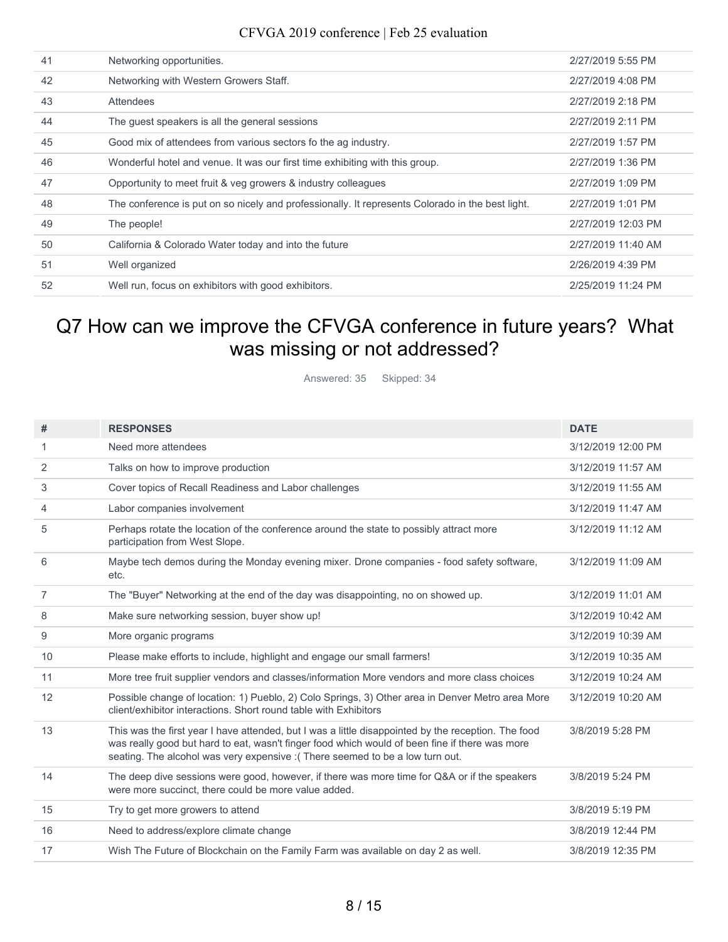| 41 | Networking opportunities.                                                                        | 2/27/2019 5:55 PM  |
|----|--------------------------------------------------------------------------------------------------|--------------------|
| 42 | Networking with Western Growers Staff.                                                           | 2/27/2019 4:08 PM  |
| 43 | Attendees                                                                                        | 2/27/2019 2:18 PM  |
| 44 | The guest speakers is all the general sessions                                                   | 2/27/2019 2:11 PM  |
| 45 | Good mix of attendees from various sectors fo the ag industry.                                   | 2/27/2019 1:57 PM  |
| 46 | Wonderful hotel and venue. It was our first time exhibiting with this group.                     | 2/27/2019 1:36 PM  |
| 47 | Opportunity to meet fruit & veg growers & industry colleagues                                    | 2/27/2019 1:09 PM  |
| 48 | The conference is put on so nicely and professionally. It represents Colorado in the best light. | 2/27/2019 1:01 PM  |
| 49 | The people!                                                                                      | 2/27/2019 12:03 PM |
| 50 | California & Colorado Water today and into the future                                            | 2/27/2019 11:40 AM |
| 51 | Well organized                                                                                   | 2/26/2019 4:39 PM  |
| 52 | Well run, focus on exhibitors with good exhibitors.                                              | 2/25/2019 11:24 PM |

### Q7 How can we improve the CFVGA conference in future years? What was missing or not addressed?

Answered: 35 Skipped: 34

| #              | <b>RESPONSES</b>                                                                                                                                                                                                                                                                       | <b>DATE</b>        |
|----------------|----------------------------------------------------------------------------------------------------------------------------------------------------------------------------------------------------------------------------------------------------------------------------------------|--------------------|
| 1.             | Need more attendees                                                                                                                                                                                                                                                                    | 3/12/2019 12:00 PM |
| 2              | Talks on how to improve production                                                                                                                                                                                                                                                     | 3/12/2019 11:57 AM |
| 3              | Cover topics of Recall Readiness and Labor challenges                                                                                                                                                                                                                                  | 3/12/2019 11:55 AM |
| 4              | Labor companies involvement                                                                                                                                                                                                                                                            | 3/12/2019 11:47 AM |
| 5              | Perhaps rotate the location of the conference around the state to possibly attract more<br>participation from West Slope.                                                                                                                                                              | 3/12/2019 11:12 AM |
| 6              | Maybe tech demos during the Monday evening mixer. Drone companies - food safety software,<br>etc.                                                                                                                                                                                      | 3/12/2019 11:09 AM |
| $\overline{7}$ | The "Buyer" Networking at the end of the day was disappointing, no on showed up.                                                                                                                                                                                                       | 3/12/2019 11:01 AM |
| 8              | Make sure networking session, buyer show up!                                                                                                                                                                                                                                           | 3/12/2019 10:42 AM |
| 9              | More organic programs                                                                                                                                                                                                                                                                  | 3/12/2019 10:39 AM |
| 10             | Please make efforts to include, highlight and engage our small farmers!                                                                                                                                                                                                                | 3/12/2019 10:35 AM |
| 11             | More tree fruit supplier vendors and classes/information More vendors and more class choices                                                                                                                                                                                           | 3/12/2019 10:24 AM |
| 12             | Possible change of location: 1) Pueblo, 2) Colo Springs, 3) Other area in Denver Metro area More<br>client/exhibitor interactions. Short round table with Exhibitors                                                                                                                   | 3/12/2019 10:20 AM |
| 13             | This was the first year I have attended, but I was a little disappointed by the reception. The food<br>was really good but hard to eat, wasn't finger food which would of been fine if there was more<br>seating. The alcohol was very expensive : (There seemed to be a low turn out. | 3/8/2019 5:28 PM   |
| 14             | The deep dive sessions were good, however, if there was more time for Q&A or if the speakers<br>were more succinct, there could be more value added.                                                                                                                                   | 3/8/2019 5:24 PM   |
| 15             | Try to get more growers to attend                                                                                                                                                                                                                                                      | 3/8/2019 5:19 PM   |
| 16             | Need to address/explore climate change                                                                                                                                                                                                                                                 | 3/8/2019 12:44 PM  |
| 17             | Wish The Future of Blockchain on the Family Farm was available on day 2 as well.                                                                                                                                                                                                       | 3/8/2019 12:35 PM  |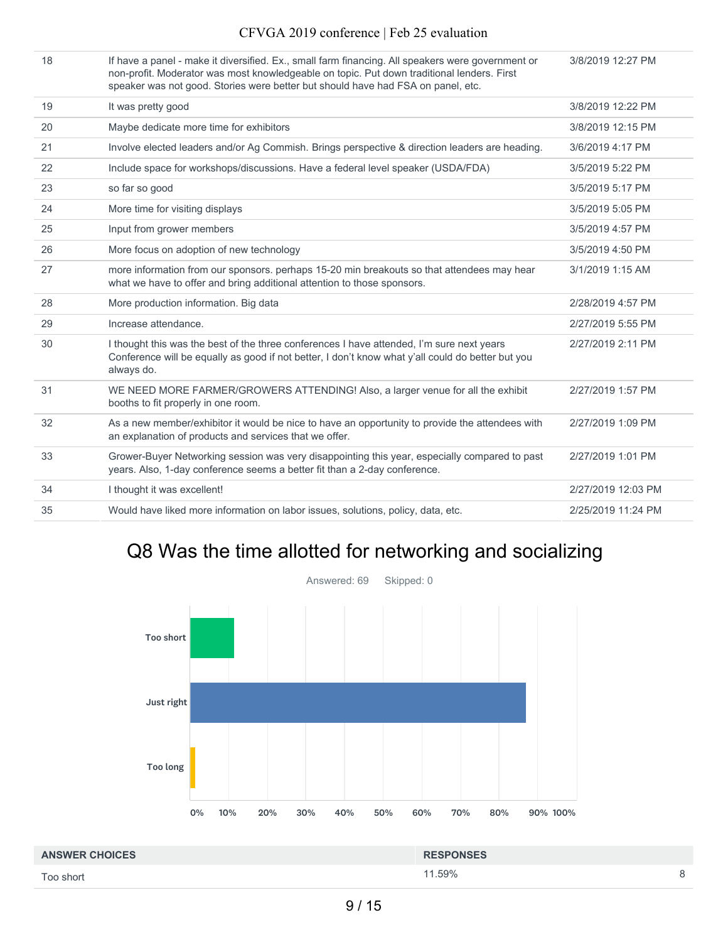18 If have a panel - make it diversified. Ex., small farm financing. All speakers were government or non-profit. Moderator was most knowledgeable on topic. Put down traditional lenders. First speaker was not good. Stories were better but should have had FSA on panel, etc. 3/8/2019 12:27 PM

| 19 | It was pretty good                                                                                                                                                                                           | 3/8/2019 12:22 PM  |
|----|--------------------------------------------------------------------------------------------------------------------------------------------------------------------------------------------------------------|--------------------|
| 20 | Maybe dedicate more time for exhibitors                                                                                                                                                                      | 3/8/2019 12:15 PM  |
| 21 | Involve elected leaders and/or Ag Commish. Brings perspective & direction leaders are heading.                                                                                                               | 3/6/2019 4:17 PM   |
| 22 | Include space for workshops/discussions. Have a federal level speaker (USDA/FDA)                                                                                                                             | 3/5/2019 5:22 PM   |
| 23 | so far so good                                                                                                                                                                                               | 3/5/2019 5:17 PM   |
| 24 | More time for visiting displays                                                                                                                                                                              | 3/5/2019 5:05 PM   |
| 25 | Input from grower members                                                                                                                                                                                    | 3/5/2019 4:57 PM   |
| 26 | More focus on adoption of new technology                                                                                                                                                                     | 3/5/2019 4:50 PM   |
| 27 | more information from our sponsors. perhaps 15-20 min breakouts so that attendees may hear<br>what we have to offer and bring additional attention to those sponsors.                                        | 3/1/2019 1:15 AM   |
| 28 | More production information. Big data                                                                                                                                                                        | 2/28/2019 4:57 PM  |
| 29 | Increase attendance.                                                                                                                                                                                         | 2/27/2019 5:55 PM  |
| 30 | I thought this was the best of the three conferences I have attended, I'm sure next years<br>Conference will be equally as good if not better, I don't know what y'all could do better but you<br>always do. | 2/27/2019 2:11 PM  |
| 31 | WE NEED MORE FARMER/GROWERS ATTENDING! Also, a larger venue for all the exhibit<br>booths to fit properly in one room.                                                                                       | 2/27/2019 1:57 PM  |
| 32 | As a new member/exhibitor it would be nice to have an opportunity to provide the attendees with<br>an explanation of products and services that we offer.                                                    | 2/27/2019 1:09 PM  |
| 33 | Grower-Buyer Networking session was very disappointing this year, especially compared to past<br>years. Also, 1-day conference seems a better fit than a 2-day conference.                                   | 2/27/2019 1:01 PM  |
| 34 | I thought it was excellent!                                                                                                                                                                                  | 2/27/2019 12:03 PM |
| 35 | Would have liked more information on labor issues, solutions, policy, data, etc.                                                                                                                             | 2/25/2019 11:24 PM |
|    |                                                                                                                                                                                                              |                    |

### Q8 Was the time allotted for networking and socializing



11.59% 8 **ANSWER CHOICES RESPONSES** Too short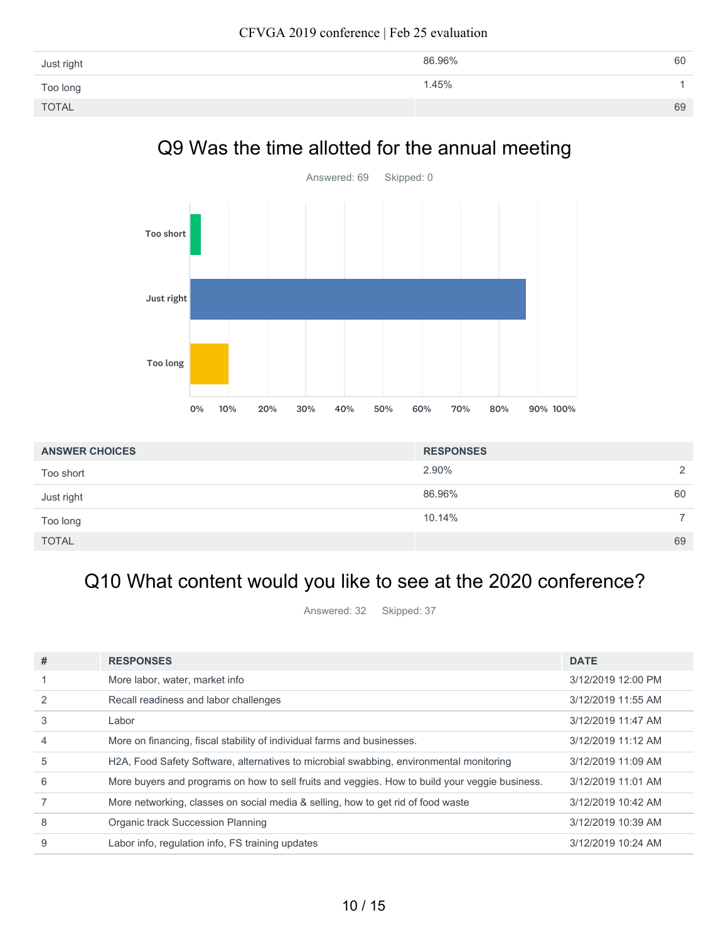| Just right   | 86.96% | 60 |
|--------------|--------|----|
| Too long     | 1.45%  |    |
| <b>TOTAL</b> |        | 69 |
|              |        |    |

### Q9 Was the time allotted for the annual meeting



| <b>ANSWER CHOICES</b> | <b>RESPONSES</b> |                |
|-----------------------|------------------|----------------|
| Too short             | 2.90%            | 2              |
| Just right            | 86.96%           | 60             |
| Too long              | 10.14%           | $\overline{7}$ |
| <b>TOTAL</b>          |                  | 69             |

## Q10 What content would you like to see at the 2020 conference?

Answered: 32 Skipped: 37

| #              | <b>RESPONSES</b>                                                                               | <b>DATE</b>        |
|----------------|------------------------------------------------------------------------------------------------|--------------------|
|                | More labor, water, market info                                                                 | 3/12/2019 12:00 PM |
|                | Recall readiness and labor challenges                                                          | 3/12/2019 11:55 AM |
| 3              | ∟abor                                                                                          | 3/12/2019 11:47 AM |
| $\overline{4}$ | More on financing, fiscal stability of individual farms and businesses.                        | 3/12/2019 11:12 AM |
| 5              | H2A, Food Safety Software, alternatives to microbial swabbing, environmental monitoring        | 3/12/2019 11:09 AM |
| 6              | More buyers and programs on how to sell fruits and veggies. How to build your veggie business. | 3/12/2019 11:01 AM |
|                | More networking, classes on social media & selling, how to get rid of food waste               | 3/12/2019 10:42 AM |
| 8              | Organic track Succession Planning                                                              | 3/12/2019 10:39 AM |
| 9              | Labor info, regulation info, FS training updates                                               | 3/12/2019 10:24 AM |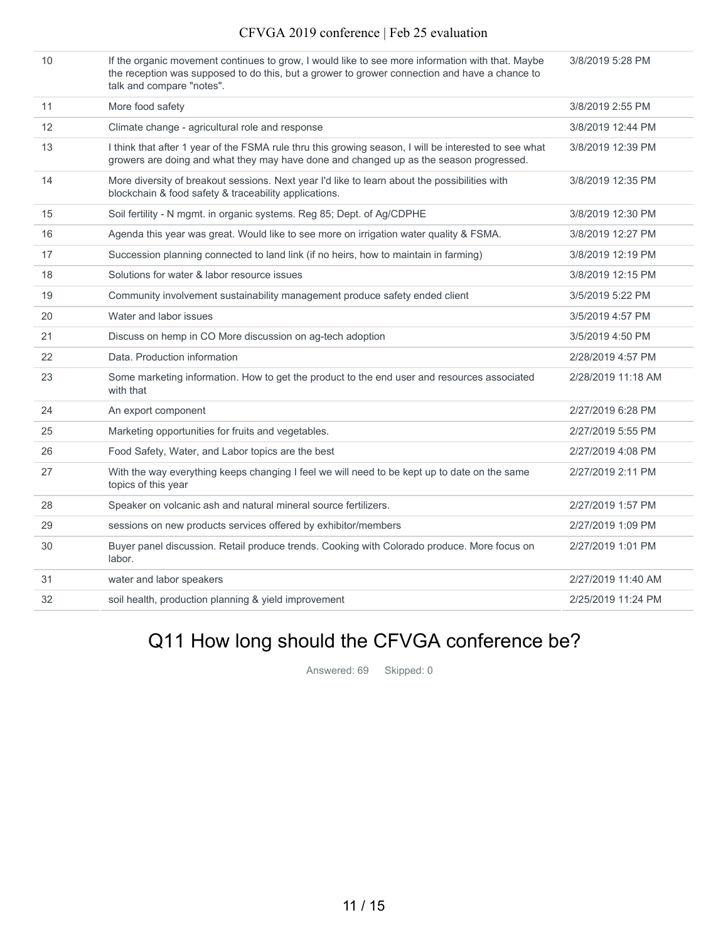| 10 | If the organic movement continues to grow, I would like to see more information with that. Maybe |
|----|--------------------------------------------------------------------------------------------------|
|    | the reception was supposed to do this, but a grower to grower connection and have a chance to    |
|    | talk and compare "notes".                                                                        |

3/8/2019 5:28 PM

|    | talk and compare "notes".                                                                                                                                                                       |                    |
|----|-------------------------------------------------------------------------------------------------------------------------------------------------------------------------------------------------|--------------------|
| 11 | More food safety                                                                                                                                                                                | 3/8/2019 2:55 PM   |
| 12 | Climate change - agricultural role and response                                                                                                                                                 | 3/8/2019 12:44 PM  |
| 13 | I think that after 1 year of the FSMA rule thru this growing season, I will be interested to see what<br>growers are doing and what they may have done and changed up as the season progressed. | 3/8/2019 12:39 PM  |
| 14 | More diversity of breakout sessions. Next year I'd like to learn about the possibilities with<br>blockchain & food safety & traceability applications.                                          | 3/8/2019 12:35 PM  |
| 15 | Soil fertility - N mgmt. in organic systems. Reg 85; Dept. of Ag/CDPHE                                                                                                                          | 3/8/2019 12:30 PM  |
| 16 | Agenda this year was great. Would like to see more on irrigation water quality & FSMA.                                                                                                          | 3/8/2019 12:27 PM  |
| 17 | Succession planning connected to land link (if no heirs, how to maintain in farming)                                                                                                            | 3/8/2019 12:19 PM  |
| 18 | Solutions for water & labor resource issues                                                                                                                                                     | 3/8/2019 12:15 PM  |
| 19 | Community involvement sustainability management produce safety ended client                                                                                                                     | 3/5/2019 5:22 PM   |
| 20 | Water and labor issues                                                                                                                                                                          | 3/5/2019 4:57 PM   |
| 21 | Discuss on hemp in CO More discussion on ag-tech adoption                                                                                                                                       | 3/5/2019 4:50 PM   |
| 22 | Data. Production information                                                                                                                                                                    | 2/28/2019 4:57 PM  |
| 23 | Some marketing information. How to get the product to the end user and resources associated<br>with that                                                                                        | 2/28/2019 11:18 AM |
| 24 | An export component                                                                                                                                                                             | 2/27/2019 6:28 PM  |
| 25 | Marketing opportunities for fruits and vegetables.                                                                                                                                              | 2/27/2019 5:55 PM  |
| 26 | Food Safety, Water, and Labor topics are the best                                                                                                                                               | 2/27/2019 4:08 PM  |
| 27 | With the way everything keeps changing I feel we will need to be kept up to date on the same<br>topics of this year                                                                             | 2/27/2019 2:11 PM  |
| 28 | Speaker on volcanic ash and natural mineral source fertilizers.                                                                                                                                 | 2/27/2019 1:57 PM  |
| 29 | sessions on new products services offered by exhibitor/members                                                                                                                                  | 2/27/2019 1:09 PM  |
| 30 | Buyer panel discussion. Retail produce trends. Cooking with Colorado produce. More focus on<br>labor.                                                                                           | 2/27/2019 1:01 PM  |
| 31 | water and labor speakers                                                                                                                                                                        | 2/27/2019 11:40 AM |
| 32 | soil health, production planning & yield improvement                                                                                                                                            | 2/25/2019 11:24 PM |
|    |                                                                                                                                                                                                 |                    |

# Q11 How long should the CFVGA conference be?

Answered: 69 Skipped: 0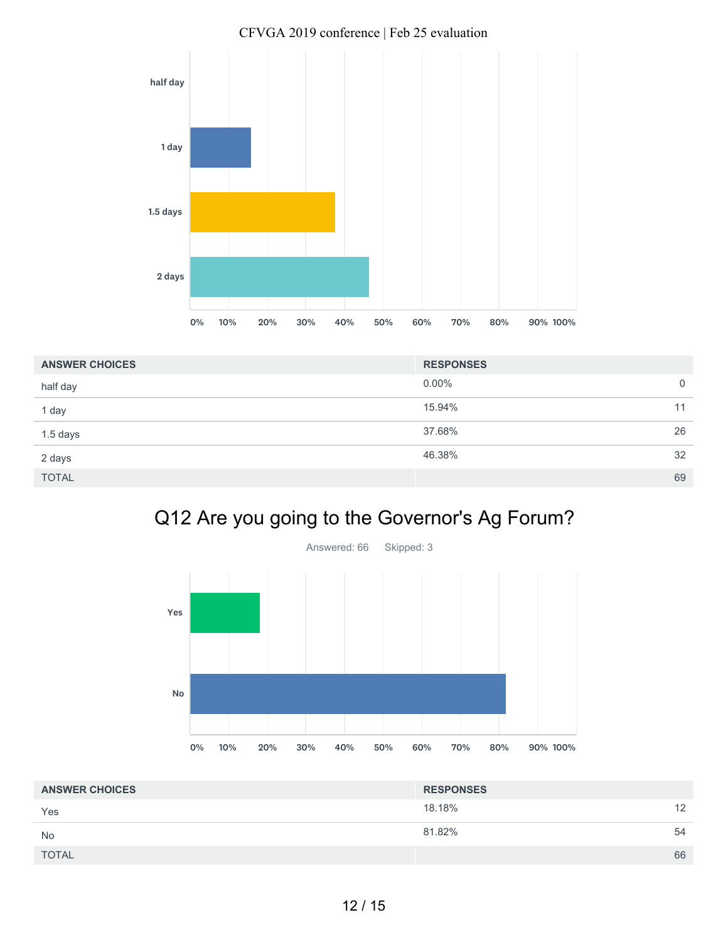

| <b>ANSWER CHOICES</b> | <b>RESPONSES</b> |    |
|-----------------------|------------------|----|
| half day              | $0.00\%$         | 0  |
| 1 day                 | 15.94%           | 11 |
| $1.5$ days            | 37.68%           | 26 |
| 2 days                | 46.38%           | 32 |
| <b>TOTAL</b>          |                  | 69 |

# Q12 Are you going to the Governor's Ag Forum?



| <b>ANSWER CHOICES</b> | <b>RESPONSES</b> |    |
|-----------------------|------------------|----|
| Yes                   | 18.18%           | 12 |
| <b>No</b>             | 81.82%           | 54 |
| <b>TOTAL</b>          |                  | 66 |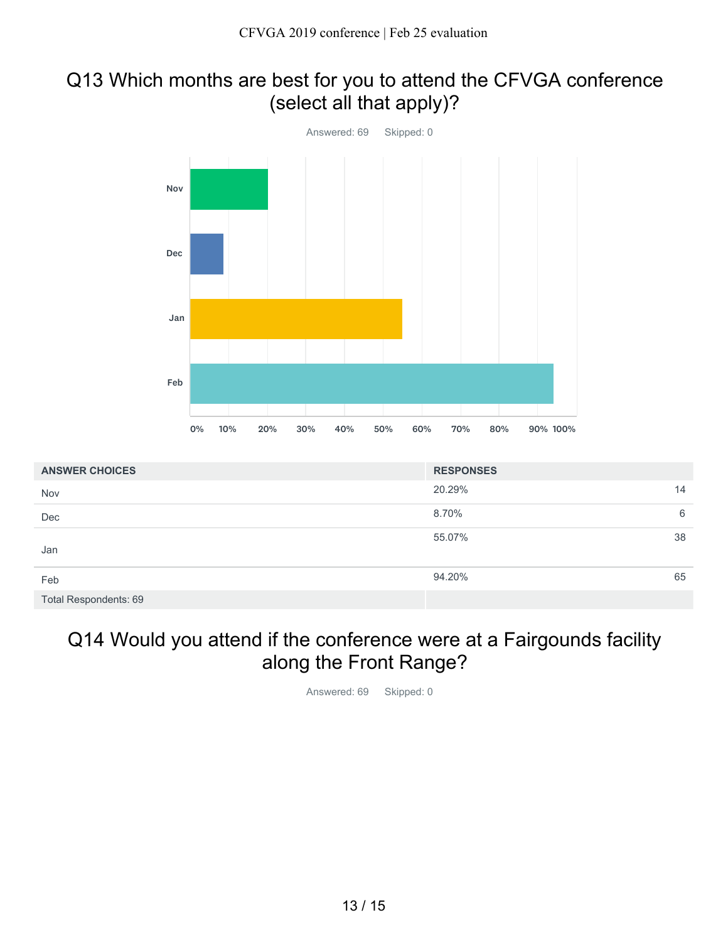#### Q13 Which months are best for you to attend the CFVGA conference (select all that apply)?



| <b>ANSWER CHOICES</b> | <b>RESPONSES</b> |    |
|-----------------------|------------------|----|
| Nov                   | 20.29%           | 14 |
| Dec                   | 8.70%            | 6  |
| Jan                   | 55.07%           | 38 |
| Feb                   | 94.20%           | 65 |
| Total Respondents: 69 |                  |    |

### Q14 Would you attend if the conference were at a Fairgounds facility along the Front Range?

Answered: 69 Skipped: 0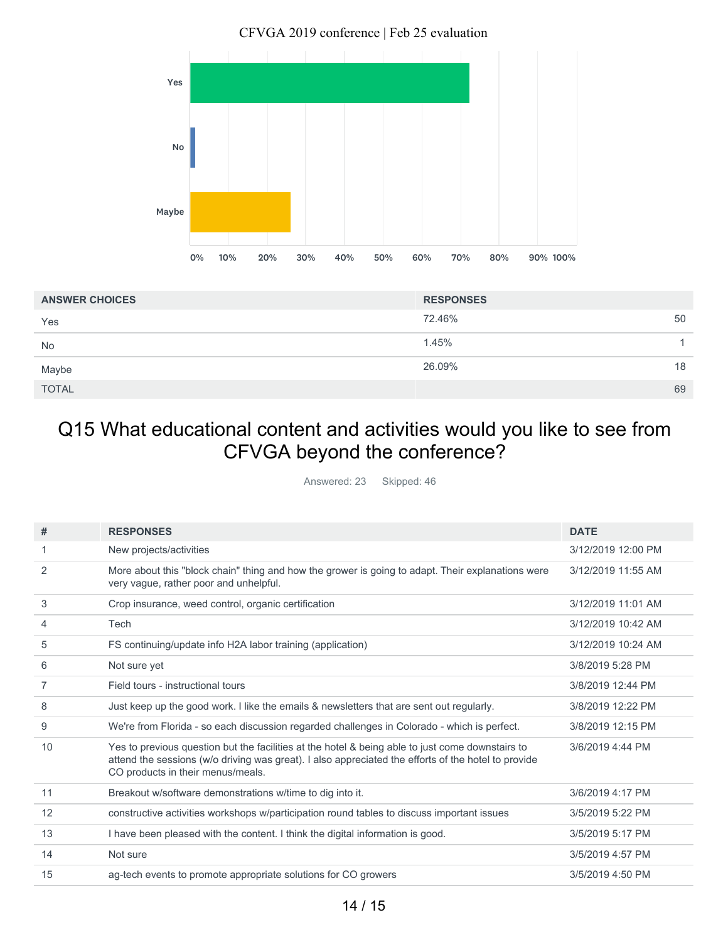

| <b>ANSWER CHOICES</b> | <b>RESPONSES</b> |
|-----------------------|------------------|
| Yes                   | 72.46%<br>50     |
| <b>No</b>             | 1.45%            |
| Maybe                 | 26.09%<br>18     |
| <b>TOTAL</b>          | 69               |

### Q15 What educational content and activities would you like to see from CFVGA beyond the conference?

Answered: 23 Skipped: 46

| #              | <b>RESPONSES</b>                                                                                                                                                                                                                             | <b>DATE</b>        |
|----------------|----------------------------------------------------------------------------------------------------------------------------------------------------------------------------------------------------------------------------------------------|--------------------|
| 1              | New projects/activities                                                                                                                                                                                                                      | 3/12/2019 12:00 PM |
| 2              | More about this "block chain" thing and how the grower is going to adapt. Their explanations were<br>very vague, rather poor and unhelpful.                                                                                                  | 3/12/2019 11:55 AM |
| 3              | Crop insurance, weed control, organic certification                                                                                                                                                                                          | 3/12/2019 11:01 AM |
| 4              | Tech                                                                                                                                                                                                                                         | 3/12/2019 10:42 AM |
| 5              | FS continuing/update info H2A labor training (application)                                                                                                                                                                                   | 3/12/2019 10:24 AM |
| 6              | Not sure yet                                                                                                                                                                                                                                 | 3/8/2019 5:28 PM   |
| $\overline{7}$ | Field tours - instructional tours                                                                                                                                                                                                            | 3/8/2019 12:44 PM  |
| 8              | Just keep up the good work. I like the emails & newsletters that are sent out regularly.                                                                                                                                                     | 3/8/2019 12:22 PM  |
| 9              | We're from Florida - so each discussion regarded challenges in Colorado - which is perfect.                                                                                                                                                  | 3/8/2019 12:15 PM  |
| 10             | Yes to previous question but the facilities at the hotel & being able to just come downstairs to<br>attend the sessions (w/o driving was great). I also appreciated the efforts of the hotel to provide<br>CO products in their menus/meals. | 3/6/2019 4:44 PM   |
| 11             | Breakout w/software demonstrations w/time to dig into it.                                                                                                                                                                                    | 3/6/2019 4:17 PM   |
| 12             | constructive activities workshops w/participation round tables to discuss important issues                                                                                                                                                   | 3/5/2019 5:22 PM   |
| 13             | I have been pleased with the content. I think the digital information is good.                                                                                                                                                               | 3/5/2019 5:17 PM   |
| 14             | Not sure                                                                                                                                                                                                                                     | 3/5/2019 4:57 PM   |
| 15             | ag-tech events to promote appropriate solutions for CO growers                                                                                                                                                                               | 3/5/2019 4:50 PM   |